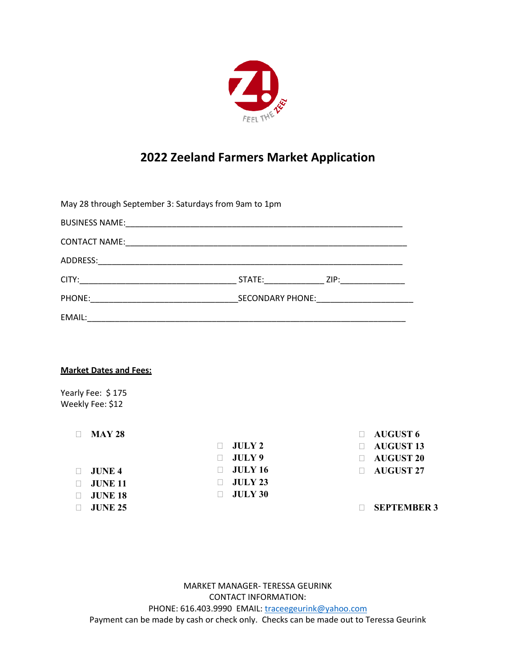

## **2022 Zeeland Farmers Market Application**

| May 28 through September 3: Saturdays from 9am to 1pm |                  |  |  |  |  |
|-------------------------------------------------------|------------------|--|--|--|--|
|                                                       |                  |  |  |  |  |
|                                                       |                  |  |  |  |  |
|                                                       |                  |  |  |  |  |
|                                                       | STATE: ZIP: 21P: |  |  |  |  |
| PHONE: SECONDARY PHONE:                               |                  |  |  |  |  |
|                                                       |                  |  |  |  |  |
|                                                       |                  |  |  |  |  |
|                                                       |                  |  |  |  |  |
| <b>Market Dates and Fees:</b>                         |                  |  |  |  |  |

Yearly Fee: \$175 Weekly Fee: \$12

| <b>MAY 28</b>  |                | $\Box$ AUGUST 6    |
|----------------|----------------|--------------------|
|                | JULY2          | <b>AUGUST 13</b>   |
|                | JULY9          | <b>AUGUST 20</b>   |
| <b>JUNE 4</b>  | <b>JULY 16</b> | <b>AUGUST 27</b>   |
| <b>JUNE 11</b> | JUIY 23        |                    |
| <b>JUNE 18</b> | <b>JULY 30</b> |                    |
| <b>JUNE 25</b> |                | <b>SEPTEMBER 3</b> |

MARKET MANAGER- TERESSA GEURINK CONTACT INFORMATION: PHONE: 616.403.9990 EMAIL: [traceegeurink@yahoo.com](mailto:traceegeurink@yahoo.com) Payment can be made by cash or check only. Checks can be made out to Teressa Geurink